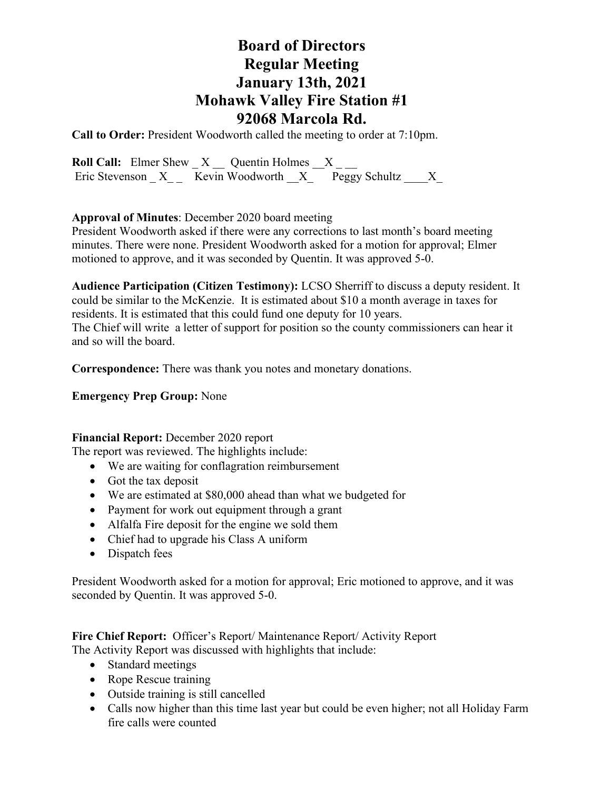# **Board of Directors Regular Meeting January 13th, 2021 Mohawk Valley Fire Station #1 92068 Marcola Rd.**

**Call to Order:** President Woodworth called the meeting to order at 7:10pm.

**Roll Call:** Elmer Shew  $X$   $\_\_$  Quentin Holmes  $\_\_X$   $\_\_$ Eric Stevenson  $X$  Kevin Woodworth  $X$  Peggy Schultz  $X$ 

# **Approval of Minutes**: December 2020 board meeting

President Woodworth asked if there were any corrections to last month's board meeting minutes. There were none. President Woodworth asked for a motion for approval; Elmer motioned to approve, and it was seconded by Quentin. It was approved 5-0.

**Audience Participation (Citizen Testimony):** LCSO Sherriff to discuss a deputy resident. It could be similar to the McKenzie. It is estimated about \$10 a month average in taxes for residents. It is estimated that this could fund one deputy for 10 years. The Chief will write a letter of support for position so the county commissioners can hear it and so will the board.

**Correspondence:** There was thank you notes and monetary donations.

**Emergency Prep Group:** None

# **Financial Report:** December 2020 report

The report was reviewed. The highlights include:

- We are waiting for conflagration reimbursement
- Got the tax deposit
- We are estimated at \$80,000 ahead than what we budgeted for
- Payment for work out equipment through a grant
- Alfalfa Fire deposit for the engine we sold them
- Chief had to upgrade his Class A uniform
- Dispatch fees

President Woodworth asked for a motion for approval; Eric motioned to approve, and it was seconded by Quentin. It was approved 5-0.

**Fire Chief Report:** Officer's Report/ Maintenance Report/ Activity Report The Activity Report was discussed with highlights that include:

- Standard meetings
- Rope Rescue training
- Outside training is still cancelled
- Calls now higher than this time last year but could be even higher; not all Holiday Farm fire calls were counted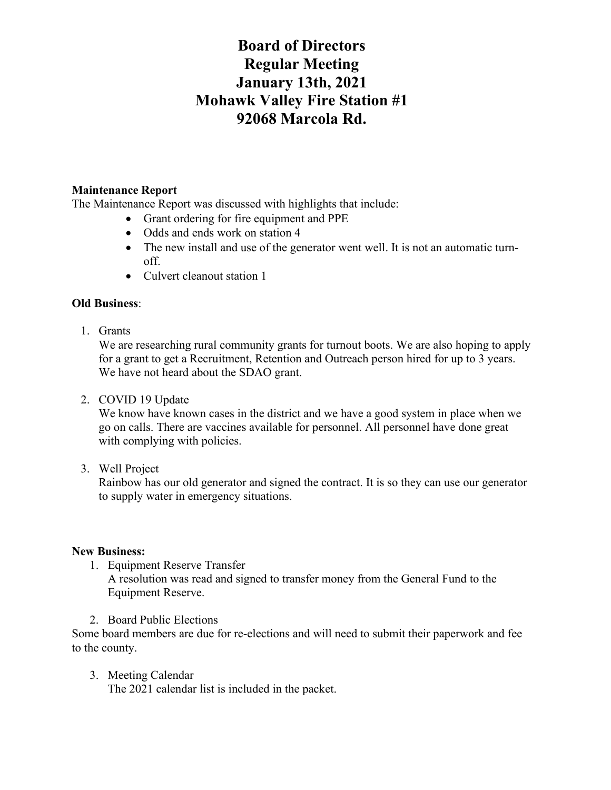# **Board of Directors Regular Meeting January 13th, 2021 Mohawk Valley Fire Station #1 92068 Marcola Rd.**

## **Maintenance Report**

The Maintenance Report was discussed with highlights that include:

- Grant ordering for fire equipment and PPE
- Odds and ends work on station 4
- The new install and use of the generator went well. It is not an automatic turnoff.
- Culvert cleanout station 1

## **Old Business**:

1. Grants

We are researching rural community grants for turnout boots. We are also hoping to apply for a grant to get a Recruitment, Retention and Outreach person hired for up to 3 years. We have not heard about the SDAO grant.

2. COVID 19 Update

We know have known cases in the district and we have a good system in place when we go on calls. There are vaccines available for personnel. All personnel have done great with complying with policies.

3. Well Project

Rainbow has our old generator and signed the contract. It is so they can use our generator to supply water in emergency situations.

#### **New Business:**

- 1. Equipment Reserve Transfer A resolution was read and signed to transfer money from the General Fund to the Equipment Reserve.
- 2. Board Public Elections

Some board members are due for re-elections and will need to submit their paperwork and fee to the county.

3. Meeting Calendar The 2021 calendar list is included in the packet.